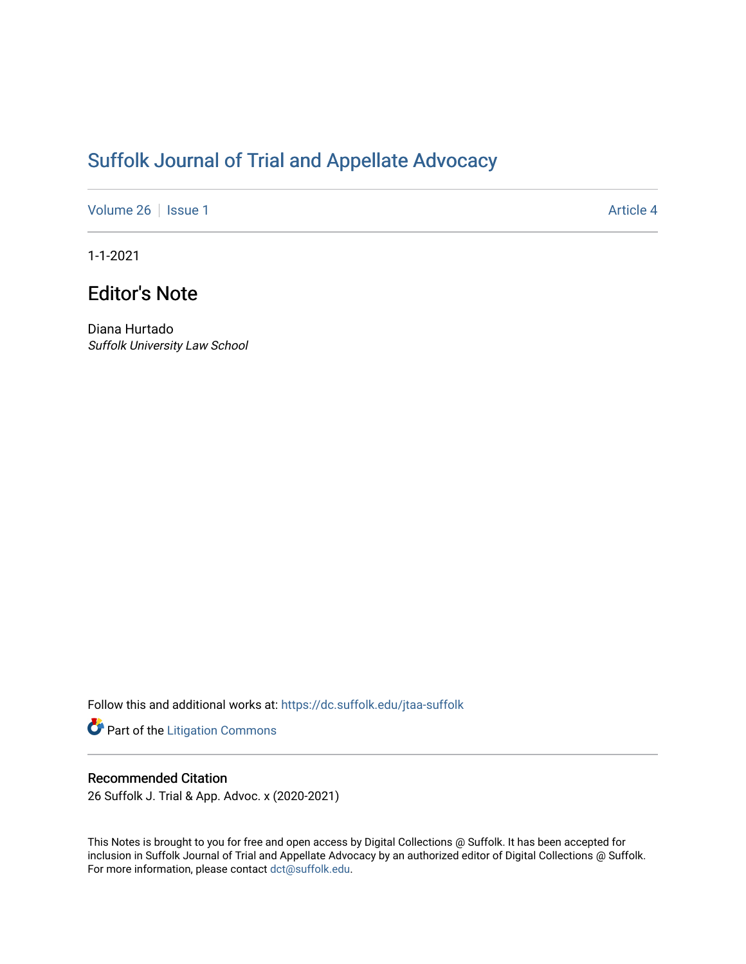# [Suffolk Journal of Trial and Appellate Advocacy](https://dc.suffolk.edu/jtaa-suffolk)

[Volume 26](https://dc.suffolk.edu/jtaa-suffolk/vol26) | [Issue 1](https://dc.suffolk.edu/jtaa-suffolk/vol26/iss1) Article 4

1-1-2021

## Editor's Note

Diana Hurtado Suffolk University Law School

Follow this and additional works at: [https://dc.suffolk.edu/jtaa-suffolk](https://dc.suffolk.edu/jtaa-suffolk?utm_source=dc.suffolk.edu%2Fjtaa-suffolk%2Fvol26%2Fiss1%2F4&utm_medium=PDF&utm_campaign=PDFCoverPages) 

Part of the [Litigation Commons](https://network.bepress.com/hgg/discipline/910?utm_source=dc.suffolk.edu%2Fjtaa-suffolk%2Fvol26%2Fiss1%2F4&utm_medium=PDF&utm_campaign=PDFCoverPages)

#### Recommended Citation

26 Suffolk J. Trial & App. Advoc. x (2020-2021)

This Notes is brought to you for free and open access by Digital Collections @ Suffolk. It has been accepted for inclusion in Suffolk Journal of Trial and Appellate Advocacy by an authorized editor of Digital Collections @ Suffolk. For more information, please contact [dct@suffolk.edu](mailto:dct@suffolk.edu).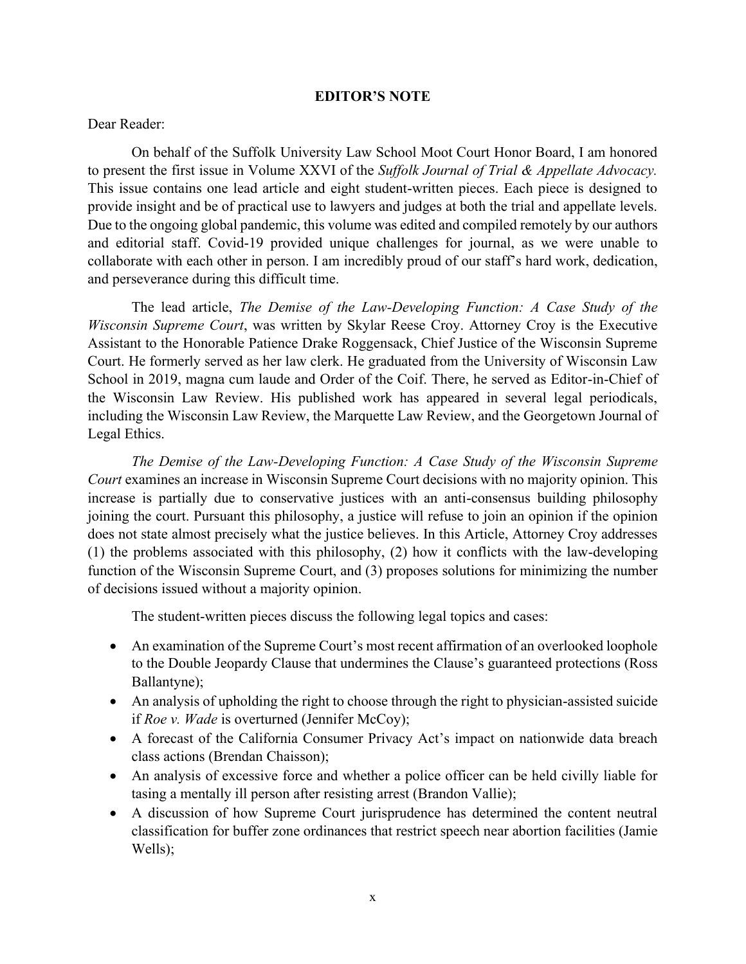### **EDITOR'S NOTE**

#### Dear Reader:

On behalf of the Suffolk University Law School Moot Court Honor Board, I am honored to present the first issue in Volume XXVI of the *Suffolk Journal of Trial & Appellate Advocacy.*  This issue contains one lead article and eight student-written pieces. Each piece is designed to provide insight and be of practical use to lawyers and judges at both the trial and appellate levels. Due to the ongoing global pandemic, this volume was edited and compiled remotely by our authors and editorial staff. Covid-19 provided unique challenges for journal, as we were unable to collaborate with each other in person. I am incredibly proud of our staff's hard work, dedication, and perseverance during this difficult time.

The lead article, *The Demise of the Law-Developing Function: A Case Study of the Wisconsin Supreme Court*, was written by Skylar Reese Croy. Attorney Croy is the Executive Assistant to the Honorable Patience Drake Roggensack, Chief Justice of the Wisconsin Supreme Court. He formerly served as her law clerk. He graduated from the University of Wisconsin Law School in 2019, magna cum laude and Order of the Coif. There, he served as Editor-in-Chief of the Wisconsin Law Review. His published work has appeared in several legal periodicals, including the Wisconsin Law Review, the Marquette Law Review, and the Georgetown Journal of Legal Ethics.

*The Demise of the Law-Developing Function: A Case Study of the Wisconsin Supreme Court* examines an increase in Wisconsin Supreme Court decisions with no majority opinion. This increase is partially due to conservative justices with an anti-consensus building philosophy joining the court. Pursuant this philosophy, a justice will refuse to join an opinion if the opinion does not state almost precisely what the justice believes. In this Article, Attorney Croy addresses (1) the problems associated with this philosophy, (2) how it conflicts with the law-developing function of the Wisconsin Supreme Court, and (3) proposes solutions for minimizing the number of decisions issued without a majority opinion.

The student-written pieces discuss the following legal topics and cases:

- An examination of the Supreme Court's most recent affirmation of an overlooked loophole to the Double Jeopardy Clause that undermines the Clause's guaranteed protections (Ross Ballantyne);
- An analysis of upholding the right to choose through the right to physician-assisted suicide if *Roe v. Wade* is overturned (Jennifer McCoy);
- A forecast of the California Consumer Privacy Act's impact on nationwide data breach class actions (Brendan Chaisson);
- An analysis of excessive force and whether a police officer can be held civilly liable for tasing a mentally ill person after resisting arrest (Brandon Vallie);
- A discussion of how Supreme Court jurisprudence has determined the content neutral classification for buffer zone ordinances that restrict speech near abortion facilities (Jamie Wells);